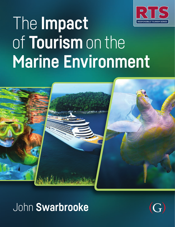

# of **Tourism** on the **Marine Environment Marine Environment** The **Impact**



## <span id="page-0-0"></span>John **Swarbrooke**

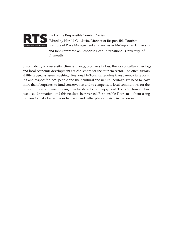

Part of the Responsible Tourism Series

Edited by Harold Goodwin, Director of Responsible Tourism, **SIBLE TOURISM SERIES** Institute of Place Management at Manchester Metropolitan University and John Swarbrooke, Associate Dean-International, University of Plymouth.

Sustainability is a necessity, climate change, biodiversity loss, the loss of cultural heritage and local economic development are challenges for the tourism sector. Too often sustainability is used as 'greenwashing'. Responsible Tourism requires transparency in reporting and respect for local people and their cultural and natural heritage. We need to leave more than footprints, to fund conservation and to compensate local communities for the opportunity cost of maintaining their heritage for our enjoyment. Too often tourism has just used destinations and this needs to be reversed. Responsible Tourism is about using tourism to make better places to live in and better places to visit, in that order.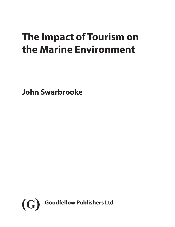## **The Impact of Tourism on the Marine Environment**

**John Swarbrooke**

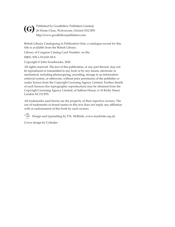Published by Goodfellow Publishers Limited, **(G)** Published by Goodtellow Publishers Limited,<br>26 Home Close, Wolvercote, Oxford OX2 8PS http://www.goodfellowpublishers.com

British Library Cataloguing in Publication Data: a catalogue record for this title is available from the British Library.

Library of Congress Catalog Card Number: on file.

ISBN: 978-1-911635-59-8

Copyright © John Swarbrooke, 2020

All rights reserved. The text of this publication, or any part thereof, may not be reproduced or transmitted in any form or by any means, electronic or mechanical, including photocopying, recording, storage in an information retrieval system, or otherwise, without prior permission of the publisher or under licence from the Copyright Licensing Agency Limited. Further details of such licences (for reprographic reproduction) may be obtained from the Copyright Licensing Agency Limited, of Saffron House, 6–10 Kirby Street, London EC1N 8TS.

All trademarks used herein are the property of their repective owners. The use of trademarks or brand names in this text does not imply any affiliation with or endorsement of this book by such owners.

Design and typesetting by P.K. McBride, www.macbride.org.uk

Cover design by Cylinder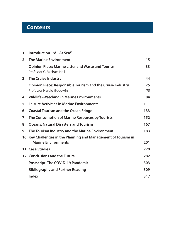### **Contents**

| 1              | Introduction - 'All At Sea!'                                                                         | 1        |
|----------------|------------------------------------------------------------------------------------------------------|----------|
| $\overline{2}$ | <b>The Marine Environment</b>                                                                        | 15       |
|                | <b>Opinion Piece: Marine Litter and Waste and Tourism</b><br>Professor C. Michael Hall               | 33       |
| 3              | <b>The Cruise Industry</b>                                                                           | 44       |
|                | <b>Opinion Piece: Responsible Tourism and the Cruise Industry</b><br><b>Professor Harold Goodwin</b> | 75<br>75 |
| 4              | <b>Wildlife-Watching in Marine Environments</b>                                                      | 84       |
| 5              | <b>Leisure Activities in Marine Environments</b>                                                     | 111      |
| 6              | <b>Coastal Tourism and the Ocean Fringe</b>                                                          | 133      |
| 7              | The Consumption of Marine Resources by Tourists                                                      | 152      |
| 8              | <b>Oceans, Natural Disasters and Tourism</b>                                                         | 167      |
| 9              | The Tourism Industry and the Marine Environment                                                      | 183      |
|                | 10 Key Challenges in the Planning and Management of Tourism in                                       |          |
|                | <b>Marine Environments</b>                                                                           | 201      |
|                | 11 Case Studies                                                                                      | 220      |
|                | 12 Conclusions and the Future                                                                        | 282      |
|                | <b>Postscript: The COVID-19 Pandemic</b>                                                             | 303      |
|                | <b>Bibliography and Further Reading</b>                                                              | 309      |
|                | <b>Index</b>                                                                                         | 317      |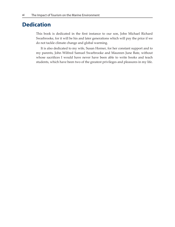#### **Dedication**

This book is dedicated in the first instance to our son, John Michael Richard Swarbrooke, for it will be his and later generations which will pay the price if we do not tackle climate change and global warming.

It is also dedicated to my wife, Susan Horner, for her constant support and to my parents, John Wilfred Samuel Swarbrooke and Maureen June Bate, without whose sacrifices I would have never have been able to write books and teach students, which have been two of the greatest privileges and pleasures in my life.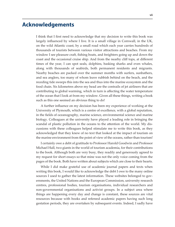#### **Acknowledgements**

I think that I first need to acknowledge that my decision to write this book was largely influenced by where I live. It is a small village in Cornwall, in the UK, on the wild Atlantic coast, by a small road which each year carries hundreds of thousands of tourists between various visitor attractions and beaches. From my window I see pleasure craft, fishing boats, and freighters going up and down the coast and the occasional cruise ship. And from the nearby cliff tops, at different times of the year, I can spot seals, dolphins, basking sharks and even whales, along with thousands of seabirds, both permanent residents and migrants. Nearby beaches are packed over the summer months with surfers, sunbathers, and sea anglers, too many of whom leave rubbish behind on the beach, and the receding tide sweeps this into the sea and thus into the marine ecosystem and the food chain. Six kilometres above my head are the contrails of jet airliners that are contributing to global warming, which in turn is affecting the water temperature of the ocean that I look at from my window. Given all these things, writing a book such as this one seemed an obvious thing to do!

A further influence on my decision has been my experience of working at the University of Plymouth, which is a centre of excellence, with a global reputation, in the fields of oceanography, marine science, environmental science and marine biology. Colleagues at the university have played a leading role in bringing the scandal of plastic pollution in the oceans to the attention of the world. My discussions with these colleagues helped stimulate me to write this book, as they acknowledged that they knew of no text that looked at the impact of tourism on the marine environment from the point of view of the oceans, rather than tourism!

I certainly owe a debt of gratitude to Professor Harold Goodwin and Professor Michael Hall, two giants in the world of tourism academia, for their contributions to the book. Although both are very busy, they readily and generously agreed to my request for short essays so that mine was not the only voice coming from the pages of the book. Both have written about subjects which are close to their hearts.

While I did make grateful use of academic journal papers and texts when writing this book, I would like to acknowledge the debt I owe to the many online sources I used to gather the latest information. These websites belonged to governments, the United Nations and the European Commission, university research centres, professional bodies, tourism organisations, individual researchers and non-governmental organisations and activist groups. In a subject area where things are happening every day and change is constant, these sources are vital resources because with books and refereed academic papers having such long gestation periods, they are overtaken by subsequent events. Indeed, I sadly have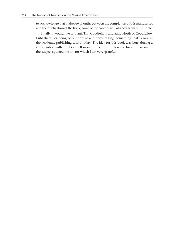to acknowledge that in the few months between the completion of this manuscript and the publication of the book, some of the content will already seem out-of-date.

Finally, I would like to thank Tim Goodfellow and Sally North of Goodfellow Publishers, for being so supportive and encouraging, something that is rare in the academic publishing world today. The idea for this book was born during a conversation with Tim Goodfellow over lunch in Taunton and his enthusiasm for the subject spurred me on, for which I am very grateful.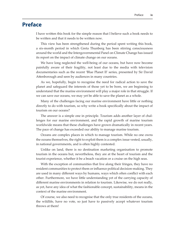#### **Preface**

I have written this book for the simple reason that I believe such a book needs to be written and that it needs to be written now.

This view has been strengthened during the period spent writing this book, a six-month period in which Greta Thunberg has been stirring consciousness around the world and the Intergovernmental Panel on Climate Change has issued its report on the impact of climate change on our oceans.

We have long neglected the well-being of our oceans, but have now become painfully aware of their fragility, not least due to the media with television documentaries such as the recent 'Blue Planet II' series, presented by Sir David Attenborough and seen by audiences in many countries.

As we, hopefully, begin to recognise the need for radical action to save the planet and safeguard the interests of those yet to be born, we are beginning to understand that the marine environment will play a major role in that struggle. If we can save our oceans, we may yet be able to save the planet as a whole.

Many of the challenges facing our marine environment have little or nothing directly to do with tourism, so why write a book specifically about the impact of tourism on our oceans?

The answer is a simple one in principle. Tourism adds another layer of challenges for our marine environment, and the rapid growth of marine tourism worldwide means that these challenges have grown dramatically in recent years. The pace of change has exceeded our ability to manage marine tourism.

Oceans are complex places in which to manage tourism. While no one owns the oceans themselves, the right to exploit them is a complex issue vested, usually, in national governments, and is often highly contested.

Unlike on land, there is no destination marketing organisation to promote tourism in the oceans but, nevertheless, they are at the heart of tourism and the tourist experience, whether it be a beach vacation or a cruise on the high seas.

With the exception of communities that live along their fringes, they have no resident communities to protect them or influence political decision-making. They are used in many different ways by humans, ways which often conflict with each other. Furthermore, we have little understanding yet of the carrying capacity of different marine environments in relation to tourism. Likewise, we do not really, as yet, have any idea of what the fashionable concept, sustainability, means in the context of the marine environment.

Of course, we also need to recognise that the only true residents of the oceans, the wildlife, have no vote, so just have to passively accept whatever tourism throws at them!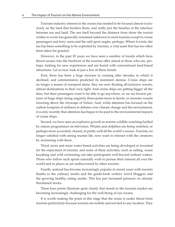Tourism industry interest in the oceans has tended to be focused almost exclusively on the land that borders them, and really just the beaches at the interface between sea and land. The sea itself beyond the distance from shore the tourist wishes to swim has generally remained unknown to most tourists except to cruise passengers and ferry users and the odd sport angler, perhaps. Where it exists, the sea has been something to be exploited by tourism, a vital asset that has too often been taken for granted.

However, in the past 20 years we have seen a number of trends which have thrust oceans into the forefront of the tourism offer aimed at those who are, perhaps, looking for new experiences and are bored with conventional land-based attractions. Let us now look at just a few of these trends.

First, there has been a huge increase in cruising after decades in which it declined, and commentators predicted its imminent demise. Cruise ships are no longer a means of transport alone, they are now floating all-inclusive resorts, almost destinations in their own right. And cruise ships are getting bigger all the time, but their passengers want to be able to go anywhere, so we see bizarre pictures of huge ships doing ungainly three-point-turns in fjords, or monster vessels towering above the cityscape of Venice. And, while attention has focused on the carbon footprint of airliners in debates over climate change and the environment, it is only recently that attention has begun to be paid to the environmental impacts of cruise ships.

Second, we have seen an explosive growth in marine wildlife-watching fuelled by nature programmes on television. Whales and dolphins are being watched, or perhaps more accurately chased, in pretty well all the world's oceans. Tourists, no longer satisfied with seeing marine life, now want to interact with the creatures by swimming with them.

Third, more and more water-based activities are being developed or invented for the enjoyment of tourists, and some of these activities, such as sailing, ocean kayaking and wild swimming can take participants well beyond inshore waters. Those who follow such sports naturally wish to pursue their interest all over the world and in places as yet undiscovered by other tourists.

Fourth, seafood has become increasingly popular in recent years with tourists thanks to the culinary media and the guide-book writers, travel bloggers and the growing healthy eating media. This has put increased pressure on already threatened stocks.

These four points illustrate quite clearly that trends in the tourism market are becoming increasingly challenging for the well-being of our oceans.

It is worth making the point at this stage that the ocean is under threat from tourism particularly because tourists are mobile and not tied to any location. They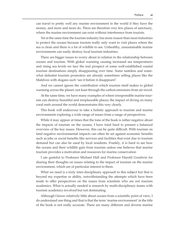can travel to pretty well any marine environment in the world if they have the money, and more and more do. There are therefore very few places of sanctuary, where the marine environment can exist without interference from tourists.

Yet at the same time the tourism industry has more reason than most industries to protect the oceans because tourists really only want to visit places where the sea is clean and there is a lot of wildlife to see. Unhealthy, unsustainable marine environments can easily destroy local tourism industries.

There are bigger issues to worry about in relation to the relationship between oceans and tourism. With global warming causing increased sea temperatures and rising sea levels we face the real prospect of some well-established coastal tourism destinations simply disappearing over time. Some tasteless and somewhat defeatist tourism promoters are already sometimes selling places like the Maldives with slogans such 'see it before it disappears!'.

And we cannot ignore the contribution which tourism itself makes to global warming across the planet, not least through the carbon emissions from air travel.

At the same time, we have many examples of where irresponsible marine tourism can destroy beautiful and irreplaceable places; the impact of diving on many coral reefs around the world demonstrates this very clearly.

This book will endeavour to take a holistic approach to tourism and marine environments exploring a wide range of issues from a range of perspectives.

While it may appear at times that the tone of the book is rather negative about the impacts of tourism on the oceans, I have tried hard to present a balanced overview of the key issues. However, this can be quite difficult. With tourism on land negative environmental impacts can often be set against economic benefits such as jobs or social benefits like services and facilities that exist due to tourism demand but can also be used by local residents. Frankly, it is hard to see how the oceans and their wildlife gain from tourism unless one believes that marine tourism provides a motivation and resources for marine conservation

I am grateful to Professor Michael Hall and Professor Harold Goodwin for sharing their thoughts on issues relating to the impact of tourism on the marine environment, which are of particular interest to them.

What we need is a truly inter-disciplinary approach to this subject but that is beyond my expertise or ability, notwithstanding the attempts which have been made to offer perspectives on the issues from scientists who are not tourism academics. What is actually needed is research by multi-disciplinary teams with tourism academics involved but not dominating.

Although I know relatively little about oceans from a scientific point of view, I do understand one thing and that is that the term 'marine environment' in the title of the book is not really accurate. There are many different and diverse marine